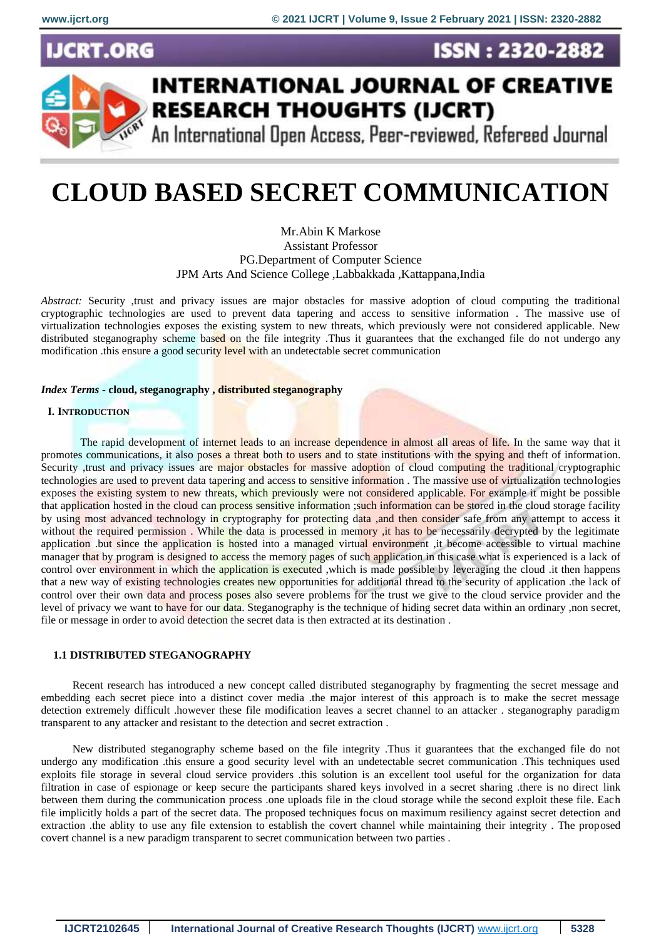CRT.ORG





# **INTERNATIONAL JOURNAL OF CREATIVE RESEARCH THOUGHTS (IJCRT)**

An International Open Access, Peer-reviewed, Refereed Journal

# **CLOUD BASED SECRET COMMUNICATION**

Mr.Abin K Markose Assistant Professor PG.Department of Computer Science JPM Arts And Science College ,Labbakkada ,Kattappana,India

*Abstract:* Security ,trust and privacy issues are major obstacles for massive adoption of cloud computing the traditional cryptographic technologies are used to prevent data tapering and access to sensitive information . The massive use of virtualization technologies exposes the existing system to new threats, which previously were not considered applicable. New distributed steganography scheme based on the file integrity. Thus it guarantees that the exchanged file do not undergo any modification .this ensure a good security level with an undetectable secret communication

#### *Index Terms* **- cloud, steganography , distributed steganography**

#### **I. INTRODUCTION**

The rapid development of internet leads to an increase dependence in almost all areas of life. In the same way that it promotes communications, it also poses a threat both to users and to state institutions with the spying and theft of information. Security , trust and privacy issues are major obstacles for massive adoption of cloud computing the traditional cryptographic technologies are used to prevent data tapering and access to sensitive information. The massive use of virtualization technologies exposes the existing system to new threats, which previously were not considered applicable. For example it might be possible that application hosted in the cloud can process sensitive information ;such information can be stored in the cloud storage facility by using most advanced technology in cryptography for protecting data ,and then consider safe from any attempt to access it without the required permission. While the data is processed in memory, it has to be necessarily decrypted by the legitimate application .but since the application is hosted into a managed virtual environment ,it become accessible to virtual machine manager that by program is designed to access the memory pages of such application in this case what is experienced is a lack of control over environment in which the application is executed ,which is made possible by leveraging the cloud .it then happens that a new way of existing technologies creates new opportunities for additional thread to the security of application .the lack of control over their own data and process poses also severe problems for the trust we give to the cloud service provider and the level of privacy we want to have for our data. Steganography is the technique of hiding secret data within an ordinary ,non secret, file or message in order to avoid detection the secret data is then extracted at its destination .

# **1.1 DISTRIBUTED STEGANOGRAPHY**

Recent research has introduced a new concept called distributed steganography by fragmenting the secret message and embedding each secret piece into a distinct cover media .the major interest of this approach is to make the secret message detection extremely difficult .however these file modification leaves a secret channel to an attacker . steganography paradigm transparent to any attacker and resistant to the detection and secret extraction .

New distributed steganography scheme based on the file integrity .Thus it guarantees that the exchanged file do not undergo any modification .this ensure a good security level with an undetectable secret communication .This techniques used exploits file storage in several cloud service providers .this solution is an excellent tool useful for the organization for data filtration in case of espionage or keep secure the participants shared keys involved in a secret sharing .there is no direct link between them during the communication process .one uploads file in the cloud storage while the second exploit these file. Each file implicitly holds a part of the secret data. The proposed techniques focus on maximum resiliency against secret detection and extraction .the ablity to use any file extension to establish the covert channel while maintaining their integrity . The proposed covert channel is a new paradigm transparent to secret communication between two parties .